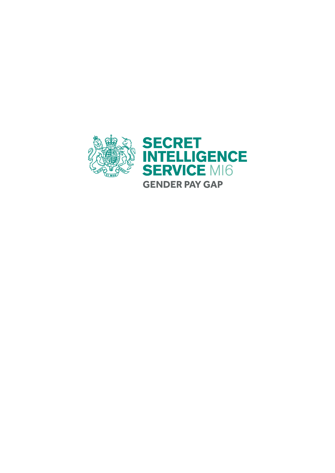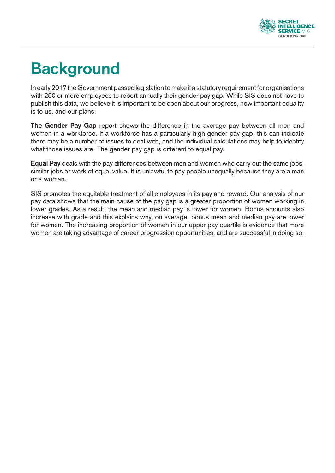

# **Background**

In early 2017 the Government passed legislation to make it a statutory requirement for organisations with 250 or more employees to report annually their gender pay gap. While SIS does not have to publish this data, we believe it is important to be open about our progress, how important equality is to us, and our plans.

**The Gender Pay Gap** report shows the difference in the average pay between all men and women in a workforce. If a workforce has a particularly high gender pay gap, this can indicate there may be a number of issues to deal with, and the individual calculations may help to identify what those issues are. The gender pay gap is different to equal pay.

**Equal Pay** deals with the pay differences between men and women who carry out the same jobs, similar jobs or work of equal value. It is unlawful to pay people unequally because they are a man or a woman.

SIS promotes the equitable treatment of all employees in its pay and reward. Our analysis of our pay data shows that the main cause of the pay gap is a greater proportion of women working in lower grades. As a result, the mean and median pay is lower for women. Bonus amounts also increase with grade and this explains why, on average, bonus mean and median pay are lower for women. The increasing proportion of women in our upper pay quartile is evidence that more women are taking advantage of career progression opportunities, and are successful in doing so.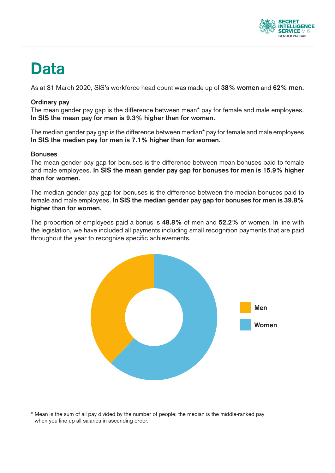

## **Data**

As at 31 March 2020, SlS's workforce head count was made up of **38% women** and **62% men.**

### **Ordinary pay**

The mean gender pay gap is the difference between mean\* pay for female and male employees. **In SIS the mean pay for men is 9.3% higher than for women.**

The median gender pay gap is the difference between median\* pay for female and male employees **In SIS the median pay for men is 7.1% higher than for women.**

#### **Bonuses**

The mean gender pay gap for bonuses is the difference between mean bonuses paid to female and male employees. **In SIS the mean gender pay gap for bonuses for men is 15.9% higher than for women.**

The median gender pay gap for bonuses is the difference between the median bonuses paid to female and male employees. **In SIS the median gender pay gap for bonuses for men is 39.8% higher than for women.**

The proportion of employees paid a bonus is **48.8%** of men and **52.2%** of women. In line with the legislation, we have included all payments including small recognition payments that are paid throughout the year to recognise specific achievements.



\* Mean is the sum of all pay divided by the number of people; the median is the middle-ranked pay when you line up all salaries in ascending order.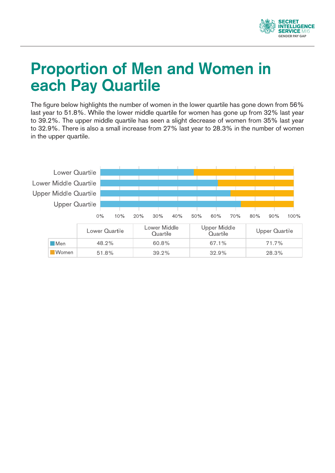

## **Proportion of Men and Women in each Pay Quartile**

The figure below highlights the number of women in the lower quartile has gone down from 56% last year to 51.8%. While the lower middle quartile for women has gone up from 32% last year to 39.2%. The upper middle quartile has seen a slight decrease of women from 35% last year to 32.9%. There is also a small increase from 27% last year to 28.3% in the number of women in the upper quartile.